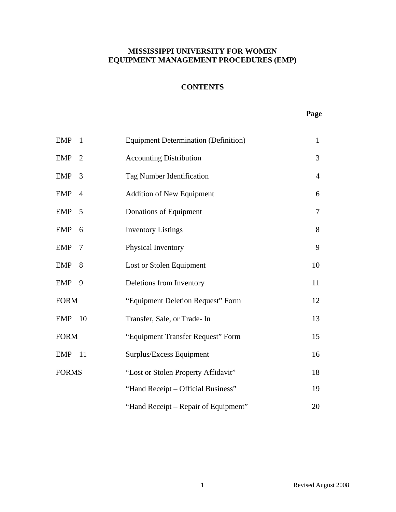## **CONTENTS**

#### **Page**

| <b>EMP</b>   | $\overline{1}$ | <b>Equipment Determination (Definition)</b> | $\mathbf{1}$   |
|--------------|----------------|---------------------------------------------|----------------|
| $EMP$ 2      |                | <b>Accounting Distribution</b>              | 3              |
| $EMP$ 3      |                | Tag Number Identification                   | $\overline{4}$ |
| EMP          | $\overline{4}$ | <b>Addition of New Equipment</b>            | 6              |
| EMP          | $\overline{5}$ | Donations of Equipment                      | $\tau$         |
| <b>EMP</b>   | 6              | <b>Inventory Listings</b>                   | 8              |
| <b>EMP</b>   | 7              | Physical Inventory                          | 9              |
| EMP          | 8              | Lost or Stolen Equipment                    | 10             |
| EMP          | 9              | Deletions from Inventory                    | 11             |
| <b>FORM</b>  |                | "Equipment Deletion Request" Form           | 12             |
| <b>EMP</b>   | 10             | Transfer, Sale, or Trade- In                | 13             |
| <b>FORM</b>  |                | "Equipment Transfer Request" Form           | 15             |
| <b>EMP</b>   | - 11           | Surplus/Excess Equipment                    | 16             |
| <b>FORMS</b> |                | "Lost or Stolen Property Affidavit"         | 18             |
|              |                | "Hand Receipt - Official Business"          | 19             |
|              |                | "Hand Receipt – Repair of Equipment"        | 20             |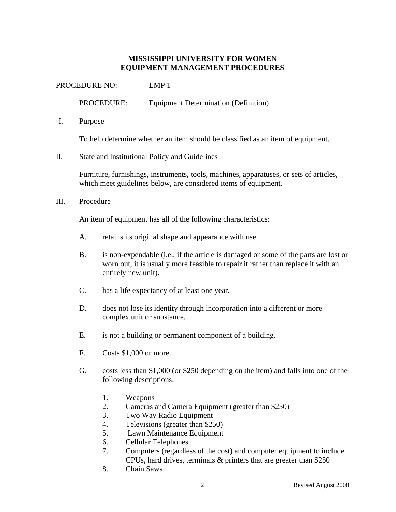PROCEDURE NO: EMP 1

PROCEDURE: Equipment Determination (Definition)

I. Purpose

To help determine whether an item should be classified as an item of equipment.

#### II. State and Institutional Policy and Guidelines

Furniture, furnishings, instruments, tools, machines, apparatuses, or sets of articles, which meet guidelines below, are considered items of equipment.

#### III. Procedure

An item of equipment has all of the following characteristics:

- A. retains its original shape and appearance with use.
- B. is non-expendable (i.e., if the article is damaged or some of the parts are lost or worn out, it is usually more feasible to repair it rather than replace it with an entirely new unit).
- C. has a life expectancy of at least one year.
- D. does not lose its identity through incorporation into a different or more complex unit or substance.
- E. is not a building or permanent component of a building.
- F. Costs \$1,000 or more.
- G. costs less than \$1,000 (or \$250 depending on the item) and falls into one of the following descriptions:
	- 1. Weapons
	- 2. Cameras and Camera Equipment (greater than \$250)
	- 3. Two Way Radio Equipment
	- 4. Televisions (greater than \$250)
	- 5. Lawn Maintenance Equipment
	- 6. Cellular Telephones
	- 7. Computers (regardless of the cost) and computer equipment to include CPUs, hard drives, terminals & printers that are greater than \$250
	- 8. Chain Saws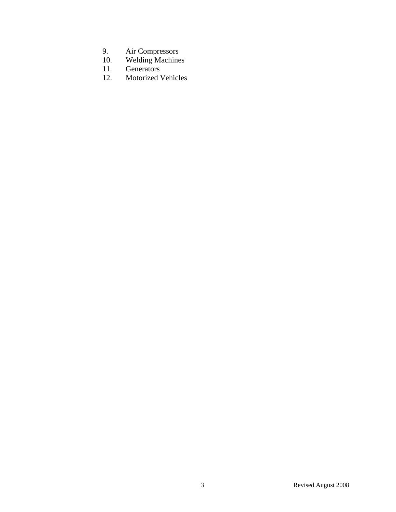- 9. Air Compressors
- 10. Welding Machines
- 11. Generators
- 12. Motorized Vehicles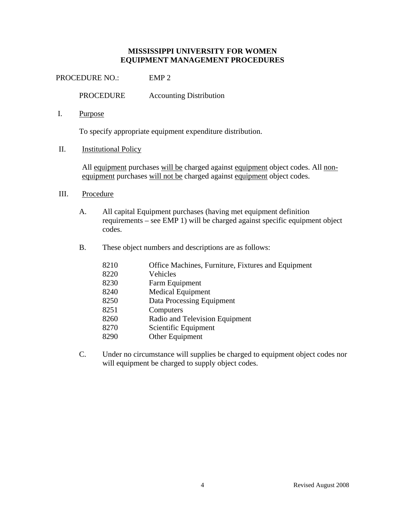PROCEDURE NO.: EMP 2

PROCEDURE Accounting Distribution

I. Purpose

To specify appropriate equipment expenditure distribution.

II. Institutional Policy

All equipment purchases will be charged against equipment object codes. All nonequipment purchases will not be charged against equipment object codes.

- III. Procedure
	- A. All capital Equipment purchases (having met equipment definition requirements – see EMP 1) will be charged against specific equipment object codes.
	- B. These object numbers and descriptions are as follows:

| 8210 | Office Machines, Furniture, Fixtures and Equipment |
|------|----------------------------------------------------|
| 8220 | Vehicles                                           |
| 8230 | Farm Equipment                                     |
| 8240 | Medical Equipment                                  |
| 8250 | Data Processing Equipment                          |
| 8251 | Computers                                          |
| 8260 | Radio and Television Equipment                     |
| 8270 | Scientific Equipment                               |
| 8290 | Other Equipment                                    |

C. Under no circumstance will supplies be charged to equipment object codes nor will equipment be charged to supply object codes.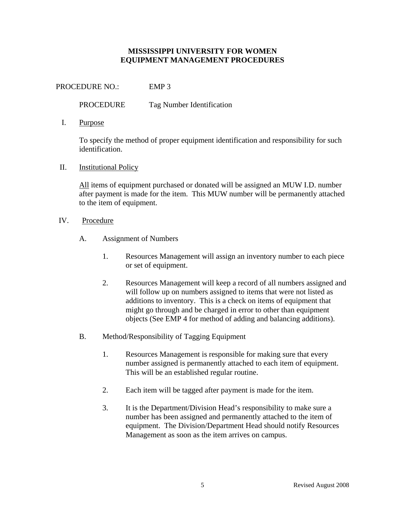PROCEDURE NO.: EMP 3

PROCEDURE Tag Number Identification

I. Purpose

To specify the method of proper equipment identification and responsibility for such identification.

II. Institutional Policy

All items of equipment purchased or donated will be assigned an MUW I.D. number after payment is made for the item. This MUW number will be permanently attached to the item of equipment.

- IV. Procedure
	- A. Assignment of Numbers
		- 1. Resources Management will assign an inventory number to each piece or set of equipment.
		- 2. Resources Management will keep a record of all numbers assigned and will follow up on numbers assigned to items that were not listed as additions to inventory. This is a check on items of equipment that might go through and be charged in error to other than equipment objects (See EMP 4 for method of adding and balancing additions).
	- B. Method/Responsibility of Tagging Equipment
		- 1. Resources Management is responsible for making sure that every number assigned is permanently attached to each item of equipment. This will be an established regular routine.
		- 2. Each item will be tagged after payment is made for the item.
		- 3. It is the Department/Division Head's responsibility to make sure a number has been assigned and permanently attached to the item of equipment. The Division/Department Head should notify Resources Management as soon as the item arrives on campus.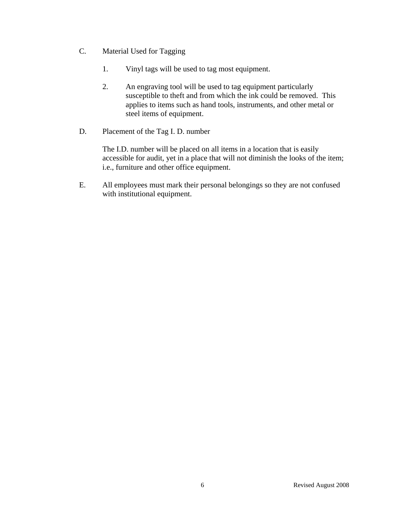- C. Material Used for Tagging
	- 1. Vinyl tags will be used to tag most equipment.
	- 2. An engraving tool will be used to tag equipment particularly susceptible to theft and from which the ink could be removed. This applies to items such as hand tools, instruments, and other metal or steel items of equipment.
- D. Placement of the Tag I. D. number

The I.D. number will be placed on all items in a location that is easily accessible for audit, yet in a place that will not diminish the looks of the item; i.e., furniture and other office equipment.

E. All employees must mark their personal belongings so they are not confused with institutional equipment.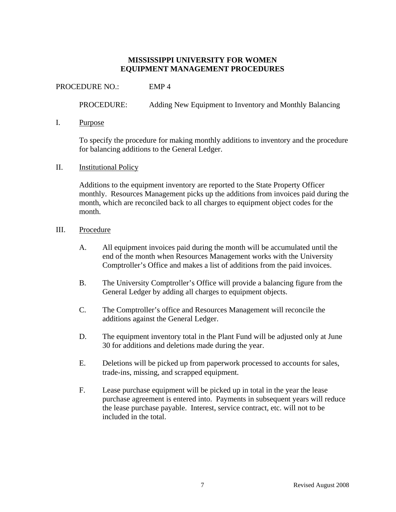PROCEDURE NO.: EMP 4

PROCEDURE: Adding New Equipment to Inventory and Monthly Balancing

#### I. Purpose

To specify the procedure for making monthly additions to inventory and the procedure for balancing additions to the General Ledger.

#### II. Institutional Policy

Additions to the equipment inventory are reported to the State Property Officer monthly. Resources Management picks up the additions from invoices paid during the month, which are reconciled back to all charges to equipment object codes for the month.

#### III. Procedure

- A. All equipment invoices paid during the month will be accumulated until the end of the month when Resources Management works with the University Comptroller's Office and makes a list of additions from the paid invoices.
- B. The University Comptroller's Office will provide a balancing figure from the General Ledger by adding all charges to equipment objects.
- C. The Comptroller's office and Resources Management will reconcile the additions against the General Ledger.
- D. The equipment inventory total in the Plant Fund will be adjusted only at June 30 for additions and deletions made during the year.
- E. Deletions will be picked up from paperwork processed to accounts for sales, trade-ins, missing, and scrapped equipment.
- F. Lease purchase equipment will be picked up in total in the year the lease purchase agreement is entered into. Payments in subsequent years will reduce the lease purchase payable. Interest, service contract, etc. will not to be included in the total.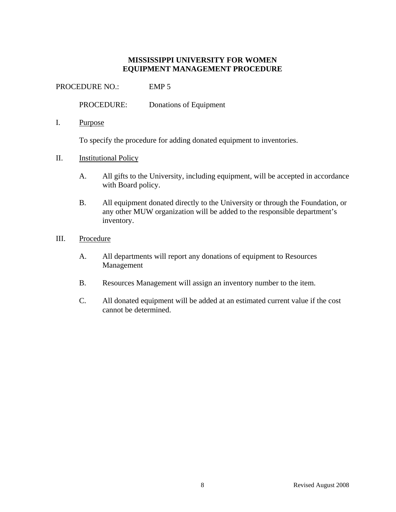PROCEDURE NO.: EMP 5

PROCEDURE: Donations of Equipment

I. Purpose

To specify the procedure for adding donated equipment to inventories.

- II. Institutional Policy
	- A. All gifts to the University, including equipment, will be accepted in accordance with Board policy.
	- B. All equipment donated directly to the University or through the Foundation, or any other MUW organization will be added to the responsible department's inventory.
- III. Procedure
	- A. All departments will report any donations of equipment to Resources Management
	- B. Resources Management will assign an inventory number to the item.
	- C. All donated equipment will be added at an estimated current value if the cost cannot be determined.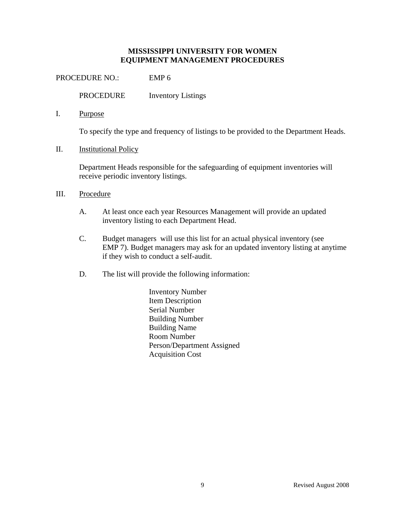PROCEDURE NO.: EMP 6

PROCEDURE Inventory Listings

I. Purpose

To specify the type and frequency of listings to be provided to the Department Heads.

II. Institutional Policy

Department Heads responsible for the safeguarding of equipment inventories will receive periodic inventory listings.

- III. Procedure
	- A. At least once each year Resources Management will provide an updated inventory listing to each Department Head.
	- C. Budget managers will use this list for an actual physical inventory (see EMP 7). Budget managers may ask for an updated inventory listing at anytime if they wish to conduct a self-audit.
	- D. The list will provide the following information:
		- Inventory Number Item Description Serial Number Building Number Building Name Room Number Person/Department Assigned Acquisition Cost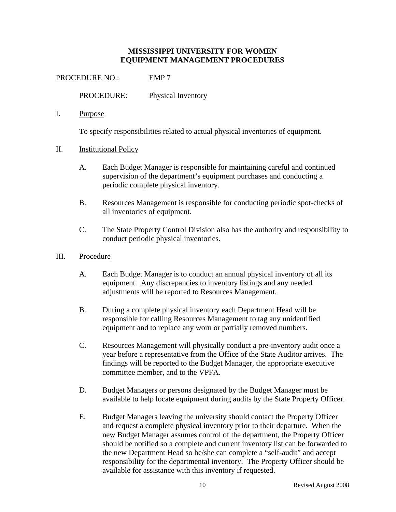PROCEDURE NO.: EMP 7

PROCEDURE: Physical Inventory

I. Purpose

To specify responsibilities related to actual physical inventories of equipment.

## II. Institutional Policy

- A. Each Budget Manager is responsible for maintaining careful and continued supervision of the department's equipment purchases and conducting a periodic complete physical inventory.
- B. Resources Management is responsible for conducting periodic spot-checks of all inventories of equipment.
- C. The State Property Control Division also has the authority and responsibility to conduct periodic physical inventories.

#### III. Procedure

- A. Each Budget Manager is to conduct an annual physical inventory of all its equipment. Any discrepancies to inventory listings and any needed adjustments will be reported to Resources Management.
- B. During a complete physical inventory each Department Head will be responsible for calling Resources Management to tag any unidentified equipment and to replace any worn or partially removed numbers.
- C. Resources Management will physically conduct a pre-inventory audit once a year before a representative from the Office of the State Auditor arrives. The findings will be reported to the Budget Manager, the appropriate executive committee member, and to the VPFA.
- D. Budget Managers or persons designated by the Budget Manager must be available to help locate equipment during audits by the State Property Officer.
- E. Budget Managers leaving the university should contact the Property Officer and request a complete physical inventory prior to their departure. When the new Budget Manager assumes control of the department, the Property Officer should be notified so a complete and current inventory list can be forwarded to the new Department Head so he/she can complete a "self-audit" and accept responsibility for the departmental inventory. The Property Officer should be available for assistance with this inventory if requested.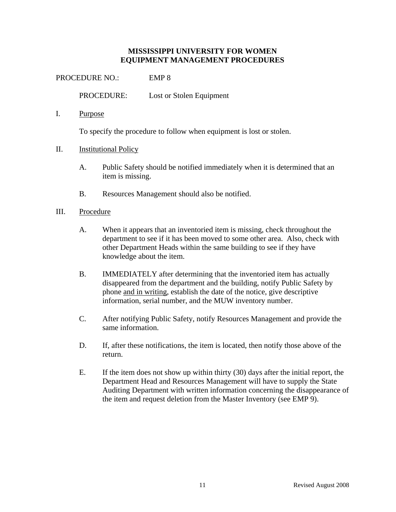PROCEDURE NO.: EMP 8

PROCEDURE: Lost or Stolen Equipment

I. Purpose

To specify the procedure to follow when equipment is lost or stolen.

## II. Institutional Policy

- A. Public Safety should be notified immediately when it is determined that an item is missing.
- B. Resources Management should also be notified.

## III. Procedure

- A. When it appears that an inventoried item is missing, check throughout the department to see if it has been moved to some other area. Also, check with other Department Heads within the same building to see if they have knowledge about the item.
- B. IMMEDIATELY after determining that the inventoried item has actually disappeared from the department and the building, notify Public Safety by phone and in writing, establish the date of the notice, give descriptive information, serial number, and the MUW inventory number.
- C. After notifying Public Safety, notify Resources Management and provide the same information.
- D. If, after these notifications, the item is located, then notify those above of the return.
- E. If the item does not show up within thirty (30) days after the initial report, the Department Head and Resources Management will have to supply the State Auditing Department with written information concerning the disappearance of the item and request deletion from the Master Inventory (see EMP 9).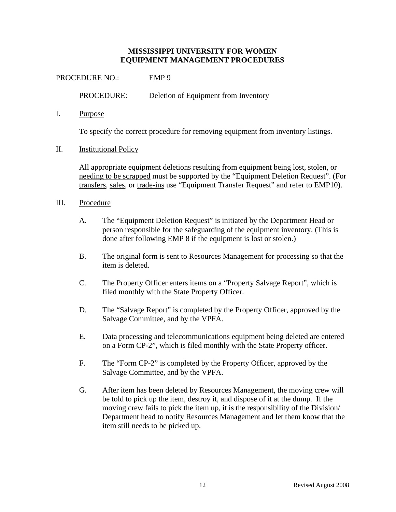PROCEDURE NO.: EMP 9 PROCEDURE: Deletion of Equipment from Inventory

I. Purpose

To specify the correct procedure for removing equipment from inventory listings.

II. Institutional Policy

All appropriate equipment deletions resulting from equipment being lost, stolen, or needing to be scrapped must be supported by the "Equipment Deletion Request". (For transfers, sales, or trade-ins use "Equipment Transfer Request" and refer to EMP10).

- III. Procedure
	- A. The "Equipment Deletion Request" is initiated by the Department Head or person responsible for the safeguarding of the equipment inventory. (This is done after following EMP 8 if the equipment is lost or stolen.)
	- B. The original form is sent to Resources Management for processing so that the item is deleted.
	- C. The Property Officer enters items on a "Property Salvage Report", which is filed monthly with the State Property Officer.
	- D. The "Salvage Report" is completed by the Property Officer, approved by the Salvage Committee, and by the VPFA.
	- E. Data processing and telecommunications equipment being deleted are entered on a Form CP-2", which is filed monthly with the State Property officer.
	- F. The "Form CP-2" is completed by the Property Officer, approved by the Salvage Committee, and by the VPFA.
	- G. After item has been deleted by Resources Management, the moving crew will be told to pick up the item, destroy it, and dispose of it at the dump. If the moving crew fails to pick the item up, it is the responsibility of the Division/ Department head to notify Resources Management and let them know that the item still needs to be picked up.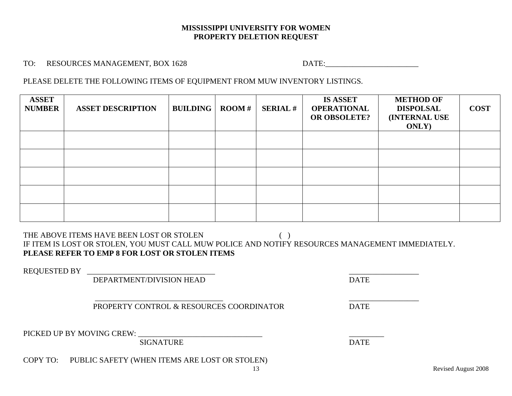#### **MISSISSIPPI UNIVERSITY FOR WOMEN PROPERTY DELETION REQUEST**

TO: RESOURCES MANAGEMENT, BOX 1628 DATE:

PLEASE DELETE THE FOLLOWING ITEMS OF EQUIPMENT FROM MUW INVENTORY LISTINGS.

| <b>ASSET</b><br><b>NUMBER</b> | <b>ASSET DESCRIPTION</b> | <b>BUILDING</b> | $\bf{$ } ROOM # | <b>SERIAL#</b> | <b>IS ASSET</b><br><b>OPERATIONAL</b><br><b>OR OBSOLETE?</b> | <b>METHOD OF</b><br><b>DISPOLSAL</b><br><b>(INTERNAL USE)</b><br><b>ONLY</b> ) | <b>COST</b> |
|-------------------------------|--------------------------|-----------------|-----------------|----------------|--------------------------------------------------------------|--------------------------------------------------------------------------------|-------------|
|                               |                          |                 |                 |                |                                                              |                                                                                |             |
|                               |                          |                 |                 |                |                                                              |                                                                                |             |
|                               |                          |                 |                 |                |                                                              |                                                                                |             |
|                               |                          |                 |                 |                |                                                              |                                                                                |             |
|                               |                          |                 |                 |                |                                                              |                                                                                |             |

THE ABOVE ITEMS HAVE BEEN LOST OR STOLEN ( ) IF ITEM IS LOST OR STOLEN, YOU MUST CALL MUW POLICE AND NOTIFY RESOURCES MANAGEMENT IMMEDIATELY. **PLEASE REFER TO EMP 8 FOR LOST OR STOLEN ITEMS**

REQUESTED BY

DEPARTMENT/DIVISION HEAD DATE

PROPERTY CONTROL & RESOURCES COORDINATOR DATE

PICKED UP BY MOVING CREW: \_\_\_\_\_\_\_\_\_\_\_\_\_\_\_\_\_\_\_\_\_\_\_\_\_\_\_\_\_\_\_\_ \_\_\_\_\_\_\_\_\_

SIGNATURE DATE

COPY TO: PUBLIC SAFETY (WHEN ITEMS ARE LOST OR STOLEN)

\_\_\_\_\_\_\_\_\_\_\_\_\_\_\_\_\_\_\_\_\_\_\_\_\_\_\_\_\_\_\_\_\_ \_\_\_\_\_\_\_\_\_\_\_\_\_\_\_\_\_\_

Revised August 2008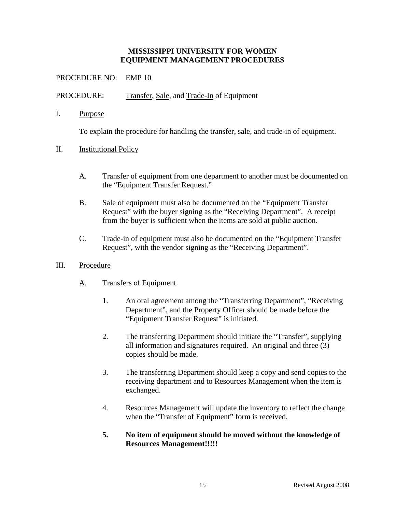## PROCEDURE NO: EMP 10

PROCEDURE: Transfer, Sale, and Trade-In of Equipment

I. Purpose

To explain the procedure for handling the transfer, sale, and trade-in of equipment.

- II. Institutional Policy
	- A. Transfer of equipment from one department to another must be documented on the "Equipment Transfer Request."
	- B. Sale of equipment must also be documented on the "Equipment Transfer Request" with the buyer signing as the "Receiving Department". A receipt from the buyer is sufficient when the items are sold at public auction.
	- C. Trade-in of equipment must also be documented on the "Equipment Transfer Request", with the vendor signing as the "Receiving Department".

#### III. Procedure

- A. Transfers of Equipment
	- 1. An oral agreement among the "Transferring Department", "Receiving Department", and the Property Officer should be made before the "Equipment Transfer Request" is initiated.
	- 2. The transferring Department should initiate the "Transfer", supplying all information and signatures required. An original and three (3) copies should be made.
	- 3. The transferring Department should keep a copy and send copies to the receiving department and to Resources Management when the item is exchanged.
	- 4. Resources Management will update the inventory to reflect the change when the "Transfer of Equipment" form is received.

## **5. No item of equipment should be moved without the knowledge of Resources Management!!!!!**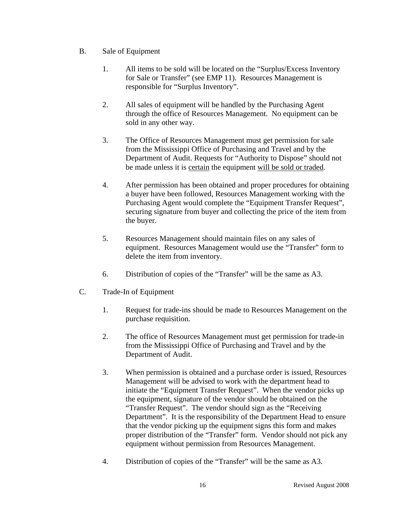- B. Sale of Equipment
	- 1. All items to be sold will be located on the "Surplus/Excess Inventory for Sale or Transfer" (see EMP 11). Resources Management is responsible for "Surplus Inventory".
	- 2. All sales of equipment will be handled by the Purchasing Agent through the office of Resources Management. No equipment can be sold in any other way.
	- 3. The Office of Resources Management must get permission for sale from the Mississippi Office of Purchasing and Travel and by the Department of Audit. Requests for "Authority to Dispose" should not be made unless it is certain the equipment will be sold or traded.
	- 4. After permission has been obtained and proper procedures for obtaining a buyer have been followed, Resources Management working with the Purchasing Agent would complete the "Equipment Transfer Request", securing signature from buyer and collecting the price of the item from the buyer.
	- 5. Resources Management should maintain files on any sales of equipment. Resources Management would use the "Transfer" form to delete the item from inventory.
	- 6. Distribution of copies of the "Transfer" will be the same as A3.
- C. Trade-In of Equipment
	- 1. Request for trade-ins should be made to Resources Management on the purchase requisition.
	- 2. The office of Resources Management must get permission for trade-in from the Mississippi Office of Purchasing and Travel and by the Department of Audit.
	- 3. When permission is obtained and a purchase order is issued, Resources Management will be advised to work with the department head to initiate the "Equipment Transfer Request". When the vendor picks up the equipment, signature of the vendor should be obtained on the "Transfer Request". The vendor should sign as the "Receiving Department". It is the responsibility of the Department Head to ensure that the vendor picking up the equipment signs this form and makes proper distribution of the "Transfer" form. Vendor should not pick any equipment without permission from Resources Management.
	- 4. Distribution of copies of the "Transfer" will be the same as A3.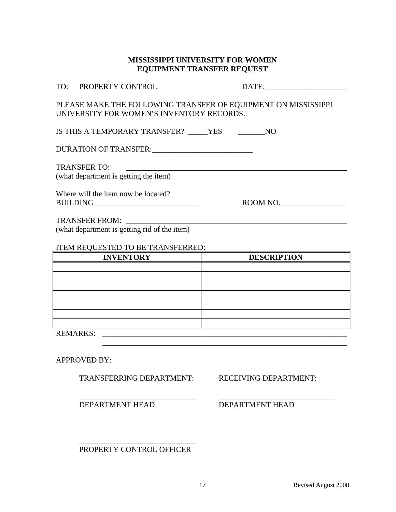## **MISSISSIPPI UNIVERSITY FOR WOMEN EQUIPMENT TRANSFER REQUEST**

| TO: PROPERTY CONTROL                                                                                        | DATE:              |  |  |  |
|-------------------------------------------------------------------------------------------------------------|--------------------|--|--|--|
| PLEASE MAKE THE FOLLOWING TRANSFER OF EQUIPMENT ON MISSISSIPPI<br>UNIVERSITY FOR WOMEN'S INVENTORY RECORDS. |                    |  |  |  |
| IS THIS A TEMPORARY TRANSFER? YES NO                                                                        |                    |  |  |  |
| DURATION OF TRANSFER:                                                                                       |                    |  |  |  |
| <b>TRANSFER TO:</b><br>(what department is getting the item)                                                |                    |  |  |  |
| Where will the item now be located?                                                                         | ROOM NO.           |  |  |  |
|                                                                                                             |                    |  |  |  |
| (what department is getting rid of the item)                                                                |                    |  |  |  |
| ITEM REQUESTED TO BE TRANSFERRED:                                                                           |                    |  |  |  |
| <b>INVENTORY</b>                                                                                            | <b>DESCRIPTION</b> |  |  |  |

| <b>INVENTORY</b> | <b>DESCRIPTION</b> |
|------------------|--------------------|
|                  |                    |
|                  |                    |
|                  |                    |
|                  |                    |
|                  |                    |
|                  |                    |
|                  |                    |
| <b>REMARKS:</b>  |                    |

\_\_\_\_\_\_\_\_\_\_\_\_\_\_\_\_\_\_\_\_\_\_\_\_\_\_\_\_\_\_\_\_\_\_\_\_\_\_\_\_\_\_\_\_\_\_\_\_\_\_\_\_\_\_\_\_\_\_\_\_\_\_\_

APPROVED BY:

TRANSFERRING DEPARTMENT: RECEIVING DEPARTMENT:

 $\overline{\phantom{a}}$  , and the contribution of the contribution of  $\overline{\phantom{a}}$  , and  $\overline{\phantom{a}}$  , and  $\overline{\phantom{a}}$  , and  $\overline{\phantom{a}}$  , and  $\overline{\phantom{a}}$  , and  $\overline{\phantom{a}}$  , and  $\overline{\phantom{a}}$  , and  $\overline{\phantom{a}}$  , and  $\overline{\phantom{a}}$  , and

DEPARTMENT HEAD DEPARTMENT HEAD

 $\frac{1}{\sqrt{2}}$  ,  $\frac{1}{\sqrt{2}}$  ,  $\frac{1}{\sqrt{2}}$  ,  $\frac{1}{\sqrt{2}}$  ,  $\frac{1}{\sqrt{2}}$  ,  $\frac{1}{\sqrt{2}}$  ,  $\frac{1}{\sqrt{2}}$  ,  $\frac{1}{\sqrt{2}}$  ,  $\frac{1}{\sqrt{2}}$  ,  $\frac{1}{\sqrt{2}}$  ,  $\frac{1}{\sqrt{2}}$  ,  $\frac{1}{\sqrt{2}}$  ,  $\frac{1}{\sqrt{2}}$  ,  $\frac{1}{\sqrt{2}}$  ,  $\frac{1}{\sqrt{2}}$ PROPERTY CONTROL OFFICER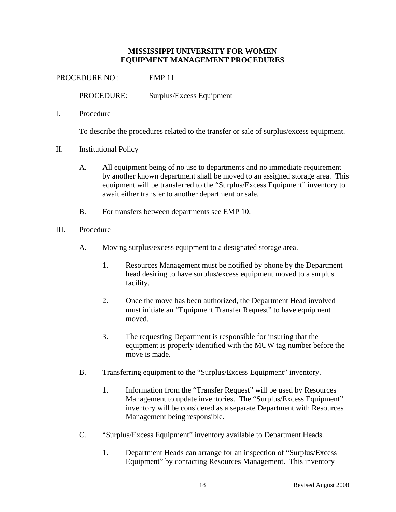PROCEDURE NO.: EMP 11

PROCEDURE: Surplus/Excess Equipment

I. Procedure

To describe the procedures related to the transfer or sale of surplus/excess equipment.

- II. Institutional Policy
	- A. All equipment being of no use to departments and no immediate requirement by another known department shall be moved to an assigned storage area. This equipment will be transferred to the "Surplus/Excess Equipment" inventory to await either transfer to another department or sale.
	- B. For transfers between departments see EMP 10.
- III. Procedure
	- A. Moving surplus/excess equipment to a designated storage area.
		- 1. Resources Management must be notified by phone by the Department head desiring to have surplus/excess equipment moved to a surplus facility.
		- 2. Once the move has been authorized, the Department Head involved must initiate an "Equipment Transfer Request" to have equipment moved.
		- 3. The requesting Department is responsible for insuring that the equipment is properly identified with the MUW tag number before the move is made.
	- B. Transferring equipment to the "Surplus/Excess Equipment" inventory.
		- 1. Information from the "Transfer Request" will be used by Resources Management to update inventories. The "Surplus/Excess Equipment" inventory will be considered as a separate Department with Resources Management being responsible.
	- C. "Surplus/Excess Equipment" inventory available to Department Heads.
		- 1. Department Heads can arrange for an inspection of "Surplus/Excess Equipment" by contacting Resources Management. This inventory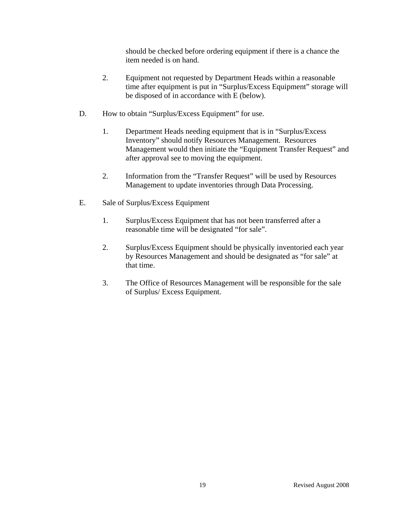should be checked before ordering equipment if there is a chance the item needed is on hand.

- 2. Equipment not requested by Department Heads within a reasonable time after equipment is put in "Surplus/Excess Equipment" storage will be disposed of in accordance with E (below).
- D. How to obtain "Surplus/Excess Equipment" for use.
	- 1. Department Heads needing equipment that is in "Surplus/Excess Inventory" should notify Resources Management. Resources Management would then initiate the "Equipment Transfer Request" and after approval see to moving the equipment.
	- 2. Information from the "Transfer Request" will be used by Resources Management to update inventories through Data Processing.
- E. Sale of Surplus/Excess Equipment
	- 1. Surplus/Excess Equipment that has not been transferred after a reasonable time will be designated "for sale".
	- 2. Surplus/Excess Equipment should be physically inventoried each year by Resources Management and should be designated as "for sale" at that time.
	- 3. The Office of Resources Management will be responsible for the sale of Surplus/ Excess Equipment.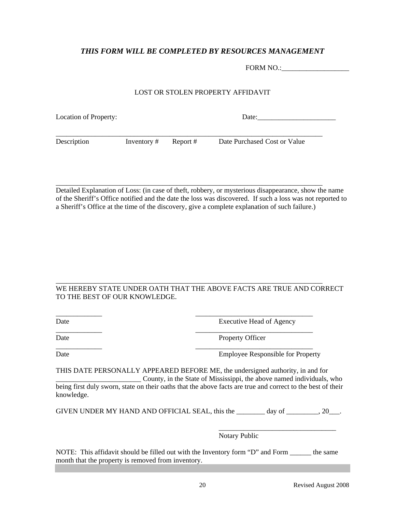## *THIS FORM WILL BE COMPLETED BY RESOURCES MANAGEMENT*

| FORM NO.: |  |
|-----------|--|
|           |  |

#### LOST OR STOLEN PROPERTY AFFIDAVIT

| Location of Property: |             | Date:    |                              |  |
|-----------------------|-------------|----------|------------------------------|--|
| Description           | Inventory # | Report # | Date Purchased Cost or Value |  |

Detailed Explanation of Loss: (in case of theft, robbery, or mysterious disappearance, show the name of the Sheriff's Office notified and the date the loss was discovered. If such a loss was not reported to a Sheriff's Office at the time of the discovery, give a complete explanation of such failure.)

\_\_\_\_\_\_\_\_\_\_\_\_\_\_\_\_\_\_\_\_\_\_\_\_\_\_\_\_\_\_\_\_\_\_\_\_\_\_\_\_\_\_\_\_\_\_\_\_\_\_\_\_\_\_\_\_\_\_\_\_\_\_\_\_\_\_\_\_\_\_\_\_\_\_\_

#### WE HEREBY STATE UNDER OATH THAT THE ABOVE FACTS ARE TRUE AND CORRECT TO THE BEST OF OUR KNOWLEDGE.

\_\_\_\_\_\_\_\_\_\_\_\_\_\_\_\_\_\_\_\_\_\_\_\_\_\_\_\_\_\_\_\_\_\_\_\_\_\_\_\_\_\_\_\_\_\_\_\_\_\_\_\_\_\_\_\_\_\_\_\_\_\_\_\_\_\_\_\_\_\_\_\_\_\_\_

\_\_\_\_\_\_\_\_\_\_\_\_\_ \_\_\_\_\_\_\_\_\_\_\_\_\_\_\_\_\_\_\_\_\_\_\_\_\_\_\_\_\_\_\_\_\_

\_\_\_\_\_\_\_\_\_\_\_\_\_ \_\_\_\_\_\_\_\_\_\_\_\_\_\_\_\_\_\_\_\_\_\_\_\_\_\_\_\_\_\_\_\_\_

Date Executive Head of Agency

\_\_\_\_\_\_\_\_\_\_\_\_\_ \_\_\_\_\_\_\_\_\_\_\_\_\_\_\_\_\_\_\_\_\_\_\_\_\_\_\_\_\_\_\_\_\_

Date Property Officer

Date Employee Responsible for Property

THIS DATE PERSONALLY APPEARED BEFORE ME, the undersigned authority, in and for \_\_\_\_\_\_\_\_\_\_\_\_\_\_\_\_\_\_\_\_\_\_\_\_ County, in the State of Mississippi, the above named individuals, who being first duly sworn, state on their oaths that the above facts are true and correct to the best of their knowledge.

GIVEN UNDER MY HAND AND OFFICIAL SEAL, this the \_\_\_\_\_\_\_\_ day of \_\_\_\_\_\_\_, 20\_\_\_.

 $\overline{\phantom{a}}$  , and the contract of the contract of the contract of the contract of the contract of the contract of the contract of the contract of the contract of the contract of the contract of the contract of the contrac

Notary Public

NOTE: This affidavit should be filled out with the Inventory form "D" and Form the same month that the property is removed from inventory.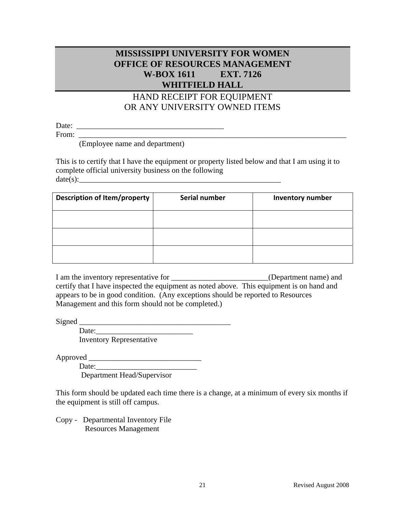## **MISSISSIPPI UNIVERSITY FOR WOMEN OFFICE OF RESOURCES MANAGEMENT W-BOX 1611 EXT. 7126 WHITFIELD HALL**

# HAND RECEIPT FOR EQUIPMENT OR ANY UNIVERSITY OWNED ITEMS

Date: \_\_\_\_\_\_\_\_\_\_\_\_\_\_\_\_\_\_\_\_\_\_\_\_\_\_\_\_\_\_\_\_\_\_\_\_\_\_

From: \_\_\_\_\_\_\_\_\_\_\_\_\_\_\_\_\_\_\_\_\_\_\_\_\_\_\_\_\_\_\_\_\_\_\_\_\_\_\_\_\_\_\_\_\_\_\_\_\_\_\_\_\_\_\_\_\_\_\_\_\_\_\_\_\_\_\_\_\_

(Employee name and department)

This is to certify that I have the equipment or property listed below and that I am using it to complete official university business on the following  $date(s):$ 

| <b>Description of Item/property</b> | Serial number | <b>Inventory number</b> |
|-------------------------------------|---------------|-------------------------|
|                                     |               |                         |
|                                     |               |                         |
|                                     |               |                         |

I am the inventory representative for \_\_\_\_\_\_\_\_\_\_\_\_\_\_\_\_\_\_\_\_\_\_\_\_\_(Department name) and certify that I have inspected the equipment as noted above. This equipment is on hand and appears to be in good condition. (Any exceptions should be reported to Resources Management and this form should not be completed.)

Signed \_\_\_\_\_\_\_\_\_\_\_\_\_\_\_\_\_\_\_\_\_\_\_\_\_\_\_\_\_\_\_\_\_\_\_\_\_\_\_

Date: Inventory Representative

Approved \_\_\_\_\_\_\_\_\_\_\_\_\_\_\_\_\_\_\_\_\_\_\_\_\_\_\_\_\_

Date:\_\_\_\_\_\_\_\_\_\_\_\_\_\_\_\_\_\_\_\_\_\_\_\_\_\_

Department Head/Supervisor

This form should be updated each time there is a change, at a minimum of every six months if the equipment is still off campus.

Copy - Departmental Inventory File Resources Management